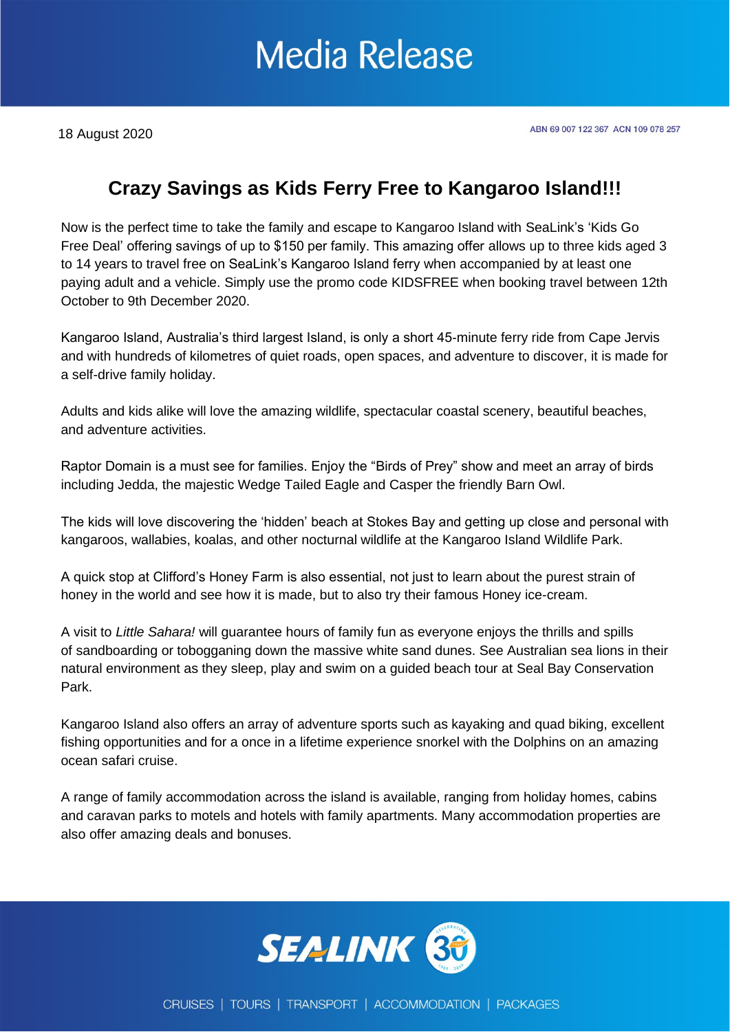### **Media Release**

18 August 2020

#### **Crazy Savings as Kids Ferry Free to Kangaroo Island!!!**

Now is the perfect time to take the family and escape to Kangaroo Island with SeaLink's 'Kids Go Free Deal' offering savings of up to \$150 per family. This amazing offer allows up to three kids aged 3 to 14 years to travel free on SeaLink's Kangaroo Island ferry when accompanied by at least one paying adult and a vehicle. Simply use the promo code KIDSFREE when booking travel between 12th October to 9th December 2020.

Kangaroo Island, Australia's third largest Island, is only a short 45-minute ferry ride from Cape Jervis and with hundreds of kilometres of quiet roads, open spaces, and adventure to discover, it is made for a self-drive family holiday.

Adults and kids alike will love the amazing wildlife, spectacular coastal scenery, beautiful beaches, and adventure activities.

Raptor Domain is a must see for families. Enjoy the "Birds of Prey" show and meet an array of birds including Jedda, the majestic Wedge Tailed Eagle and Casper the friendly Barn Owl.

The kids will love discovering the 'hidden' beach at Stokes Bay and getting up close and personal with kangaroos, wallabies, koalas, and other nocturnal wildlife at the Kangaroo Island Wildlife Park.

A quick stop at Clifford's Honey Farm is also essential, not just to learn about the purest strain of honey in the world and see how it is made, but to also try their famous Honey ice-cream.

A visit to *Little Sahara!* will guarantee hours of family fun as everyone enjoys the thrills and spills of sandboarding or tobogganing down the massive white sand dunes. See Australian sea lions in their natural environment as they sleep, play and swim on a guided beach tour at Seal Bay Conservation Park.

Kangaroo Island also offers an array of adventure sports such as kayaking and quad biking, excellent fishing opportunities and for a once in a lifetime experience snorkel with the Dolphins on an amazing ocean safari cruise.

A range of family accommodation across the island is available, ranging from holiday homes, cabins and caravan parks to motels and hotels with family apartments. Many accommodation properties are also offer amazing deals and bonuses.

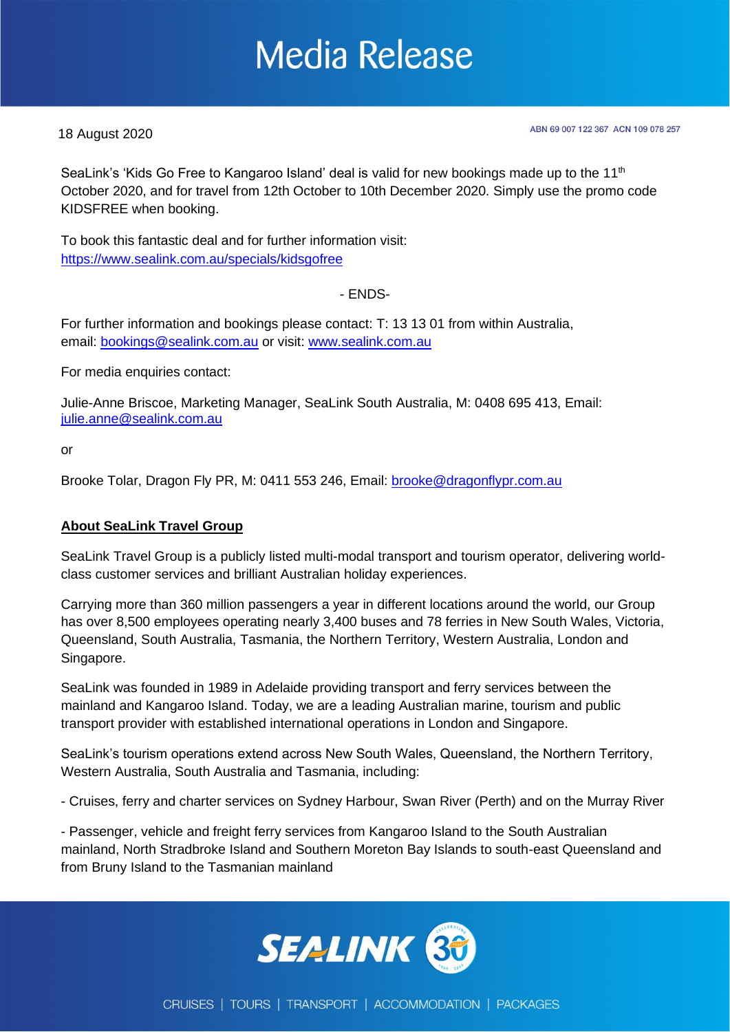## **Media Release**

18 August 2020

ABN 69 007 122 367 ACN 109 078 257

SeaLink's 'Kids Go Free to Kangaroo Island' deal is valid for new bookings made up to the 11<sup>th</sup> October 2020, and for travel from 12th October to 10th December 2020. Simply use the promo code KIDSFREE when booking.

To book this fantastic deal and for further information visit: <https://www.sealink.com.au/specials/kidsgofree>

- ENDS-

For further information and bookings please contact: T: 13 13 01 from within Australia, email: [bookings@sealink.com.au](mailto:bookings@sealink.com.au) or visit: [www.sealink.com.au](http://www.sealink.com.au/)

For media enquiries contact:

Julie-Anne Briscoe, Marketing Manager, SeaLink South Australia, M: 0408 695 413, Email: [julie.anne@sealink.com.au](mailto:julie.anne@sealink.com.au)

or

Brooke Tolar, Dragon Fly PR, M: 0411 553 246, Email: [brooke@dragonflypr.com.au](mailto:brooke@dragonflypr.com.au)

#### **About SeaLink Travel Group**

SeaLink Travel Group is a publicly listed multi-modal transport and tourism operator, delivering worldclass customer services and brilliant Australian holiday experiences.

Carrying more than 360 million passengers a year in different locations around the world, our Group has over 8,500 employees operating nearly 3,400 buses and 78 ferries in New South Wales, Victoria, Queensland, South Australia, Tasmania, the Northern Territory, Western Australia, London and Singapore.

SeaLink was founded in 1989 in Adelaide providing transport and ferry services between the mainland and Kangaroo Island. Today, we are a leading Australian marine, tourism and public transport provider with established international operations in London and Singapore.

SeaLink's tourism operations extend across New South Wales, Queensland, the Northern Territory, Western Australia, South Australia and Tasmania, including:

- Cruises, ferry and charter services on Sydney Harbour, Swan River (Perth) and on the Murray River

- Passenger, vehicle and freight ferry services from Kangaroo Island to the South Australian mainland, North Stradbroke Island and Southern Moreton Bay Islands to south-east Queensland and from Bruny Island to the Tasmanian mainland